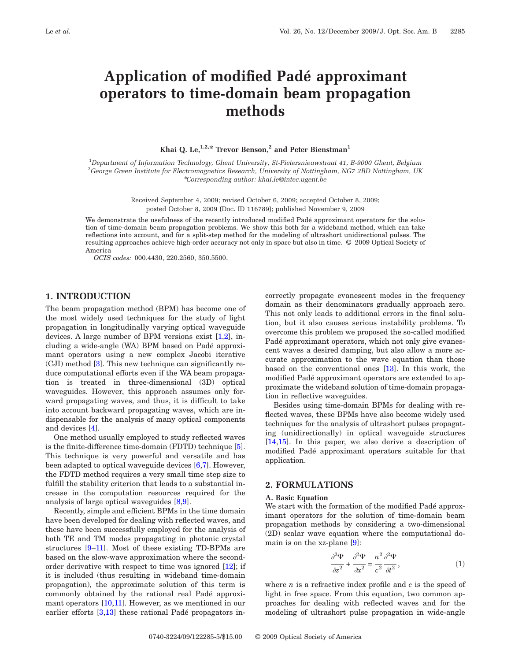# **Application of modified Padé approximant operators to time-domain beam propagation methods**

# **Khai Q. Le,**<sup>1,2,\*</sup> **Trevor Benson,<sup>2</sup> and Peter Bienstman**<sup>1</sup>

1 *Department of Information Technology, Ghent University, St-Pietersnieuwstraat 41, B-9000 Ghent, Belgium* 2 *George Green Institute for Electromagnetics Research, University of Nottingham, NG7 2RD Nottingham, UK* \**Corresponding author: khai.le@intec.ugent.be*

> Received September 4, 2009; revised October 6, 2009; accepted October 8, 2009; posted October 8, 2009 (Doc. ID 116789); published November 9, 2009

We demonstrate the usefulness of the recently introduced modified Padé approximant operators for the solution of time-domain beam propagation problems. We show this both for a wideband method, which can take reflections into account, and for a split-step method for the modeling of ultrashort unidirectional pulses. The resulting approaches achieve high-order accuracy not only in space but also in time. © 2009 Optical Society of America

*OCIS codes:* 000.4430, 220.2560, 350.5500.

## **1. INTRODUCTION**

The beam propagation method (BPM) has become one of the most widely used techniques for the study of light propagation in longitudinally varying optical waveguide devices. A large number of BPM versions exist [\[1,](#page-4-0)[2\]](#page-4-1), including a wide-angle (WA) BPM based on Padé approximant operators using a new complex Jacobi iterative (CJI) method [\[3\]](#page-4-2). This new technique can significantly reduce computational efforts even if the WA beam propagation is treated in three-dimensional (3D) optical waveguides. However, this approach assumes only forward propagating waves, and thus, it is difficult to take into account backward propagating waves, which are indispensable for the analysis of many optical components and devices [\[4\]](#page-4-3).

One method usually employed to study reflected waves is the finite-difference time-domain (FDTD) technique [\[5\]](#page-4-4). This technique is very powerful and versatile and has been adapted to optical waveguide devices [\[6](#page-4-5)[,7\]](#page-4-6). However, the FDTD method requires a very small time step size to fulfill the stability criterion that leads to a substantial increase in the computation resources required for the analysis of large optical waveguides [\[8](#page-4-7)[,9\]](#page-4-8).

Recently, simple and efficient BPMs in the time domain have been developed for dealing with reflected waves, and these have been successfully employed for the analysis of both TE and TM modes propagating in photonic crystal structures [\[9–](#page-4-8)[11\]](#page-4-9). Most of these existing TD-BPMs are based on the slow-wave approximation where the secondorder derivative with respect to time was ignored [\[12\]](#page-4-10); if it is included (thus resulting in wideband time-domain propagation), the approximate solution of this term is commonly obtained by the rational real Padé approxi-mant operators [\[10](#page-4-11)[,11\]](#page-4-9). However, as we mentioned in our earlier efforts [\[3](#page-4-2)[,13\]](#page-4-12) these rational Padé propagators incorrectly propagate evanescent modes in the frequency domain as their denominators gradually approach zero. This not only leads to additional errors in the final solution, but it also causes serious instability problems. To overcome this problem we proposed the so-called modified Padé approximant operators, which not only give evanescent waves a desired damping, but also allow a more accurate approximation to the wave equation than those based on the conventional ones [\[13\]](#page-4-12). In this work, the modified Padé approximant operators are extended to approximate the wideband solution of time-domain propagation in reflective waveguides.

Besides using time-domain BPMs for dealing with reflected waves, these BPMs have also become widely used techniques for the analysis of ultrashort pulses propagating (unidirectionally) in optical waveguide structures [\[14](#page-4-13)[,15\]](#page-4-14). In this paper, we also derive a description of modified Padé approximant operators suitable for that application.

## **2. FORMULATIONS**

#### **A. Basic Equation**

We start with the formation of the modified Padé approximant operators for the solution of time-domain beam propagation methods by considering a two-dimensional (2D) scalar wave equation where the computational domain is on the xz-plane [\[9\]](#page-4-8):

$$
\frac{\partial^2 \Psi}{\partial z^2} + \frac{\partial^2 \Psi}{\partial x^2} = \frac{n^2}{c^2} \frac{\partial^2 \Psi}{\partial t^2},\tag{1}
$$

<span id="page-0-0"></span>where *n* is a refractive index profile and *c* is the speed of light in free space. From this equation, two common approaches for dealing with reflected waves and for the modeling of ultrashort pulse propagation in wide-angle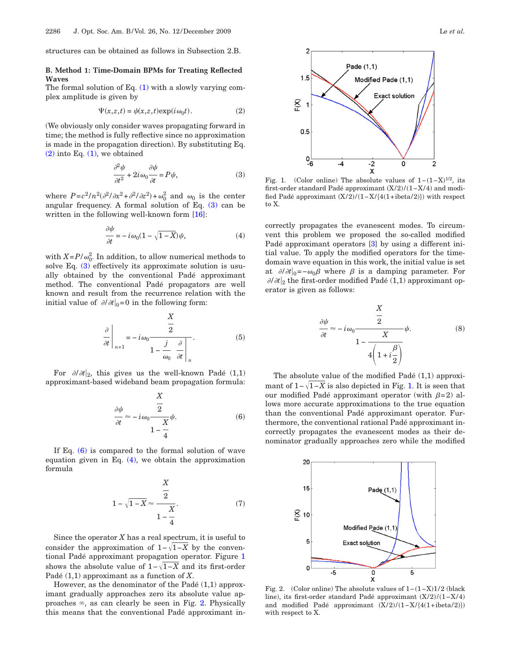structures can be obtained as follows in Subsection 2.B.

## **B. Method 1: Time-Domain BPMs for Treating Reflected Waves**

<span id="page-1-0"></span>The formal solution of Eq. [\(1\)](#page-0-0) with a slowly varying complex amplitude is given by

$$
\Psi(x,z,t) = \psi(x,z,t) \exp(i\omega_0 t). \tag{2}
$$

(We obviously only consider waves propagating forward in time; the method is fully reflective since no approximation is made in the propagation direction). By substituting Eq.  $(2)$  into Eq.  $(1)$ , we obtained

$$
\frac{\partial^2 \psi}{\partial t^2} + 2i \omega_0 \frac{\partial \psi}{\partial t} = P \psi,
$$
\n(3)

<span id="page-1-3"></span><span id="page-1-1"></span>where  $P = c^2 / n^2 (\partial^2 / \partial x^2 + \partial^2 / \partial z^2) + \omega_0^2$  and  $\omega_0$  is the center angular frequency. A formal solution of Eq.  $(3)$  can be written in the following well-known form [\[16\]](#page-4-15):

$$
\frac{\partial \psi}{\partial t} = -i \omega_0 (1 - \sqrt{1 - X}) \psi, \tag{4}
$$

with  $X = P/\omega_0^2$ . In addition, to allow numerical methods to solve Eq. [\(3\)](#page-1-1) effectively its approximate solution is usually obtained by the conventional Padé approximant method. The conventional Padé propagators are well known and result from the recurrence relation with the initial value of  $\partial/\partial t|_0=0$  in the following form:

$$
\frac{\partial}{\partial t}\Big|_{n+1} = -i\omega_0 \frac{\frac{X}{2}}{1 - \frac{j}{\omega_0} \frac{\partial}{\partial t}}.
$$
 (5)

<span id="page-1-2"></span>For  $\partial/\partial t|_2$ , this gives us the well-known Padé (1,1) approximant-based wideband beam propagation formula:

$$
\frac{\partial \psi}{\partial t} \approx -i\omega_0 \frac{\frac{X}{2}}{1 - \frac{X}{4}} \psi.
$$
 (6)

If Eq. [\(6\)](#page-1-2) is compared to the formal solution of wave equation given in Eq.  $(4)$ , we obtain the approximation formula

$$
1 - \sqrt{1 - X} \approx \frac{\frac{X}{2}}{1 - \frac{X}{4}}.
$$
 (7)

Since the operator *X* has a real spectrum, it is useful to consider the approximation of  $1-\sqrt{1-X}$  by the conventional Padé approximant propagation operator. Figure [1](#page-1-4) shows the absolute value of  $1-\sqrt{1-X}$  and its first-order Padé (1,1) approximant as a function of *X*.

However, as the denominator of the Padé (1,1) approximant gradually approaches zero its absolute value approaches  $\infty$ , as can clearly be seen in Fig. [2.](#page-1-5) Physically this means that the conventional Padé approximant in-

<span id="page-1-4"></span>

Fig. 1. (Color online) The absolute values of  $1-(1-X)^{1/2}$ , its first-order standard Padé approximant  $(X/2)/(1-X/4)$  and modified Padé approximant  $(X/2)/(1-X/\{4(1+i\beta) \})$  with respect to X.

correctly propagates the evanescent modes. To circumvent this problem we proposed the so-called modified Padé approximant operators [\[3\]](#page-4-2) by using a different initial value. To apply the modified operators for the timedomain wave equation in this work, the initial value is set at  $\partial/\partial t|_0=-\omega_0\beta$  where  $\beta$  is a damping parameter. For  $\partial/\partial t|_2$  the first-order modified Padé (1,1) approximant operator is given as follows:

$$
\frac{\partial \psi}{\partial t} \approx -i\omega_0 \frac{\frac{X}{2}}{1 - \frac{X}{4\left(1 + i\frac{\beta}{2}\right)}} \psi.
$$
 (8)

The absolute value of the modified Padé (1,1) approximant of  $1-\sqrt{1-X}$  is also depicted in Fig. [1.](#page-1-4) It is seen that our modified Padé approximant operator (with  $\beta=2$ ) allows more accurate approximations to the true equation than the conventional Padé approximant operator. Furthermore, the conventional rational Padé approximant incorrectly propagates the evanescent modes as their denominator gradually approaches zero while the modified

<span id="page-1-5"></span>

Fig. 2. (Color online) The absolute values of  $1-(1-X)1/2$  (black line), its first-order standard Padé approximant  $(X/2)/(1-X/4)$ and modified Padé approximant  $(X/2)/(1-X/{(4(1+i)det(z))})$ with respect to X.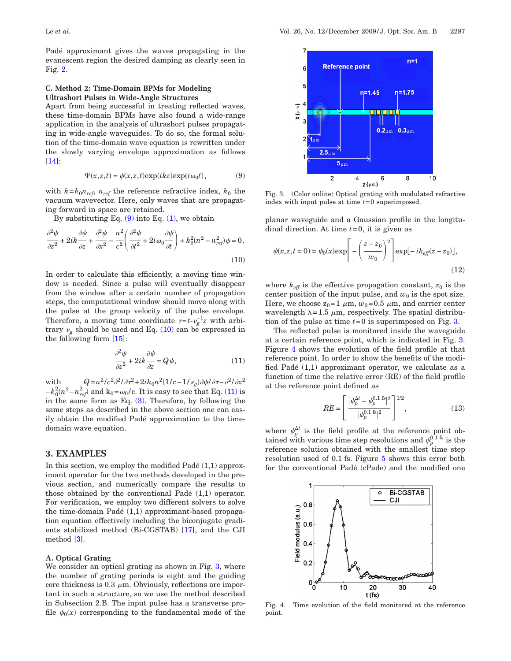Padé approximant gives the waves propagating in the evanescent region the desired damping as clearly seen in Fig. [2.](#page-1-5)

## **C. Method 2: Time-Domain BPMs for Modeling Ultrashort Pulses in Wide-Angle Structures**

Apart from being successful in treating reflected waves, these time-domain BPMs have also found a wide-range application in the analysis of ultrashort pulses propagating in wide-angle waveguides. To do so, the formal solution of the time-domain wave equation is rewritten under the slowly varying envelope approximation as follows [\[14\]](#page-4-13):

$$
\Psi(x,z,t) = \psi(x,z,t) \exp(ikz) \exp(i\omega_0 t), \tag{9}
$$

<span id="page-2-0"></span>with  $k = k_0 n_{ref}$ ,  $n_{ref}$  the reference refractive index,  $k_0$  the vacuum wavevector. Here, only waves that are propagating forward in space are retained.

By substituting Eq.  $(9)$  into Eq.  $(1)$ , we obtain

<span id="page-2-1"></span>
$$
\frac{\partial^2 \psi}{\partial z^2} + 2ik \frac{\partial \psi}{\partial z} + \frac{\partial^2 \psi}{\partial x^2} - \frac{n^2}{c^2} \left( \frac{\partial^2 \psi}{\partial t^2} + 2i \omega_0 \frac{\partial \psi}{\partial t} \right) + k_0^2 (n^2 - n_{ref}^2) \psi = 0.
$$
\n(10)

In order to calculate this efficiently, a moving time window is needed. Since a pulse will eventually disappear from the window after a certain number of propagation steps, the computational window should move along with the pulse at the group velocity of the pulse envelope. Therefore, a moving time coordinate  $\tau = t - v_g^{-1}z$  with arbitrary  $\nu_{g}$  should be used and Eq. [\(10\)](#page-2-1) can be expressed in the following form [\[15\]](#page-4-14):

$$
\frac{\partial^2 \psi}{\partial z^2} + 2ik \frac{\partial \psi}{\partial z} = Q\psi,
$$
\n(11)

<span id="page-2-2"></span>with  $Q = n^2/c^2 \partial^2/\partial \tau^2 + 2ik_0 n^2 (1/c - 1/\nu_g) \partial \psi / \partial \tau - \partial^2/\partial x^2$  $-k_0^2(n^2 - n_{ref}^2)$  and  $k_0 = \omega_0/c$ . It is easy to see that Eq. [\(11\)](#page-2-2) is in the same form as Eq.  $(3)$ . Therefore, by following the same steps as described in the above section one can easily obtain the modified Padé approximation to the timedomain wave equation.

# **3. EXAMPLES**

In this section, we employ the modified Padé (1,1) approximant operator for the two methods developed in the previous section, and numerically compare the results to those obtained by the conventional Padé (1,1) operator. For verification, we employ two different solvers to solve the time-domain Padé (1,1) approximant-based propagation equation effectively including the biconjugate gradients stabilized method (Bi-CGSTAB) [\[17\]](#page-4-16), and the CJI method [\[3\]](#page-4-2).

## **A. Optical Grating**

We consider an optical grating as shown in Fig. [3,](#page-2-3) where the number of grating periods is eight and the guiding core thickness is  $0.3 \mu$ m. Obviously, reflections are important in such a structure, so we use the method described in Subsection 2.B. The input pulse has a transverse profile  $\psi_0(x)$  corresponding to the fundamental mode of the

<span id="page-2-3"></span>

Fig. 3. (Color online) Optical grating with modulated refractive index with input pulse at time *t*=0 superimposed.

planar waveguide and a Gaussian profile in the longitudinal direction. At time *t*=0, it is given as

$$
\psi(x,z,t=0) = \psi_0(x) \exp\left[-\left(\frac{z-z_0}{w_0}\right)^2\right] \exp[-ik_{\text{eff}}(z-z_0)],\tag{12}
$$

where  $k_{\text{eff}}$  is the effective propagation constant,  $z_0$  is the center position of the input pulse, and  $w_0$  is the spot size. Here, we choose  $z_0=1 \mu m$ ,  $w_0=0.5 \mu m$ , and carrier center wavelength  $\lambda = 1.5 \mu m$ , respectively. The spatial distribution of the pulse at time *t*=0 is superimposed on Fig. [3.](#page-2-3)

The reflected pulse is monitored inside the waveguide at a certain reference point, which is indicated in Fig. [3.](#page-2-3) Figure [4](#page-2-4) shows the evolution of the field profile at that reference point. In order to show the benefits of the modified Padé (1,1) approximant operator, we calculate as a function of time the relative error (RE) of the field profile at the reference point defined as

$$
RE = \left[\frac{|\psi_p^{\Delta t} - \psi_p^{0.1 \text{ fs}}|^2}{|\psi_p^{0.1 \text{ fs}}|^2}\right]^{1/2},\tag{13}
$$

where  $\psi_p^{\Delta t}$  is the field profile at the reference point obtained with various time step resolutions and  $\psi_p^{0.1 \text{ fs}}$  is the reference solution obtained with the smallest time step resolution used of 0.1 fs. Figure [5](#page-3-0) shows this error both for the conventional Padé (cPade) and the modified one

<span id="page-2-4"></span>

Fig. 4. Time evolution of the field monitored at the reference point.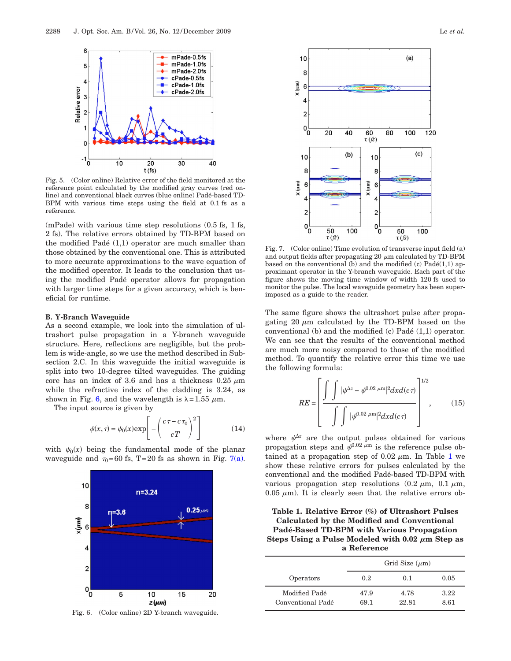<span id="page-3-0"></span>

Fig. 5. (Color online) Relative error of the field monitored at the reference point calculated by the modified gray curves (red online) and conventional black curves (blue online) Padé-based TD-BPM with various time steps using the field at 0.1 fs as a reference.

(mPade) with various time step resolutions (0.5 fs, 1 fs, 2 fs). The relative errors obtained by TD-BPM based on the modified Padé (1,1) operator are much smaller than those obtained by the conventional one. This is attributed to more accurate approximations to the wave equation of the modified operator. It leads to the conclusion that using the modified Padé operator allows for propagation with larger time steps for a given accuracy, which is beneficial for runtime.

#### **B. Y-Branch Waveguide**

As a second example, we look into the simulation of ultrashort pulse propagation in a Y-branch waveguide structure. Here, reflections are negligible, but the problem is wide-angle, so we use the method described in Subsection 2.C. In this waveguide the initial waveguide is split into two 10-degree tilted waveguides. The guiding core has an index of 3.6 and has a thickness  $0.25 \mu m$ while the refractive index of the cladding is 3.24, as shown in Fig. [6,](#page-3-1) and the wavelength is  $\lambda = 1.55 \mu$ m.

The input source is given by

$$
\psi(x,\tau) = \psi_0(x) \exp\left[-\left(\frac{c\,\tau - c\,\tau_0}{c\,T}\right)^2\right] \tag{14}
$$

<span id="page-3-1"></span>with  $\psi_0(x)$  being the fundamental mode of the planar waveguide and  $\tau_0$ =60 fs, T=20 fs as shown in Fig. [7\(a\).](#page-3-2)



Fig. 6. (Color online) 2D Y-branch waveguide.

<span id="page-3-2"></span>

Fig. 7. (Color online) Time evolution of transverse input field (a) and output fields after propagating 20  $\mu$ m calculated by TD-BPM based on the conventional (b) and the modified (c)  $Pad\acute{e}(1,1)$  approximant operator in the Y-branch waveguide. Each part of the figure shows the moving time window of width 120 fs used to monitor the pulse. The local waveguide geometry has been superimposed as a guide to the reader.

The same figure shows the ultrashort pulse after propagating 20  $\mu$ m calculated by the TD-BPM based on the conventional (b) and the modified (c) Padé (1,1) operator. We can see that the results of the conventional method are much more noisy compared to those of the modified method. To quantify the relative error this time we use the following formula:

$$
RE = \left[\frac{\int \int |\psi^{\Delta z} - \psi^{0.02 \mu m}|^2 dx d(c\tau)}{\int \int |\psi^{0.02 \mu m}|^2 dx d(c\tau)}\right]^{1/2},
$$
 (15)

where  $\psi^{\Delta z}$  are the output pulses obtained for various propagation steps and  $\psi^{0.02 \mu m}$  is the reference pulse obtained at a propagation step of 0.02  $\mu$ m. In Table [1](#page-3-3) we show these relative errors for pulses calculated by the conventional and the modified Padé-based TD-BPM with various propagation step resolutions  $(0.2 \mu m, 0.1 \mu m,$  $0.05 \mu$ m). It is clearly seen that the relative errors ob-

# <span id="page-3-3"></span>**Table 1. Relative Error (%) of Ultrashort Pulses Calculated by the Modified and Conventional Padé-Based TD-BPM with Various Propagation Steps Using a Pulse Modeled with 0.02**  $\mu$ m Step as **a Reference**

|                                    | Grid Size $(\mu m)$ |               |              |
|------------------------------------|---------------------|---------------|--------------|
| Operators                          | 0.2                 | 0.1           | 0.05         |
| Modified Padé<br>Conventional Padé | 47.9<br>69.1        | 4.78<br>22.81 | 3.22<br>8.61 |